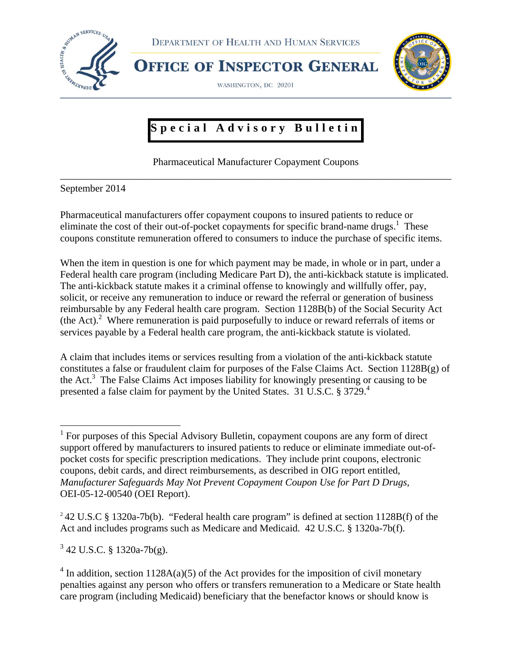

DEPARTMENT OF HEALTH AND HUMAN SERVICES

WASHINGTON, DC 20201

**OFFICE OF INSPECTOR GENERAL** 



## **Special Advisory Bulletin**

Pharmaceutical Manufacturer Copayment Coupons \_\_\_\_\_\_\_\_\_\_\_\_\_\_\_\_\_\_\_\_\_\_\_\_\_\_\_\_\_\_\_\_\_\_\_\_\_\_\_\_\_\_\_\_\_\_\_\_\_\_\_\_\_\_\_\_\_\_\_\_\_\_\_\_\_\_\_\_\_\_\_\_\_\_\_\_\_\_

September 2014

Pharmaceutical manufacturers offer copayment coupons to insured patients to reduce or eliminate the cost of their out-of-pocket copayments for specific brand-name drugs.<sup>1</sup> These coupons constitute remuneration offered to consumers to induce the purchase of specific items.

When the item in question is one for which payment may be made, in whole or in part, under a Federal health care program (including Medicare Part D), the anti-kickback statute is implicated. The anti-kickback statute makes it a criminal offense to knowingly and willfully offer, pay, solicit, or receive any remuneration to induce or reward the referral or generation of business reimbursable by any Federal health care program. Section 1128B(b) of the Social Security Act (the Act).<sup>2</sup> Where remuneration is paid purposefully to induce or reward referrals of items or services payable by a Federal health care program, the anti-kickback statute is violated.

A claim that includes items or services resulting from a violation of the anti-kickback statute constitutes a false or fraudulent claim for purposes of the False Claims Act. Section 1128B(g) of the Act.<sup>3</sup> The False Claims Act imposes liability for knowingly presenting or causing to be presented a false claim for payment by the United States. 31 U.S.C. § 3729.<sup>4</sup>

 $3$  42 U.S.C. § 1320a-7b(g).

<sup>&</sup>lt;sup>1</sup> For purposes of this Special Advisory Bulletin, copayment coupons are any form of direct support offered by manufacturers to insured patients to reduce or eliminate immediate out-ofpocket costs for specific prescription medications. They include print coupons, electronic coupons, debit cards, and direct reimbursements, as described in OIG report entitled, *Manufacturer Safeguards May Not Prevent Copayment Coupon Use for Part D Drugs,*  OEI-05-12-00540 (OEI Report).

<sup>&</sup>lt;sup>2</sup> 42 U.S.C § 1320a-7b(b). "Federal health care program" is defined at section 1128B(f) of the Act and includes programs such as Medicare and Medicaid. 42 U.S.C. § 1320a-7b(f).

 $4 \text{ In addition, section 1128A(a)(5) of the Act provides for the imposition of civil monetary.}$ penalties against any person who offers or transfers remuneration to a Medicare or State health care program (including Medicaid) beneficiary that the benefactor knows or should know is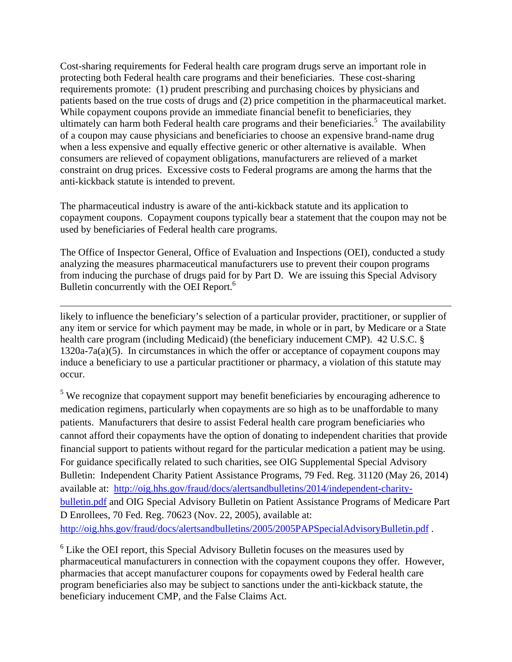Cost-sharing requirements for Federal health care program drugs serve an important role in protecting both Federal health care programs and their beneficiaries. These cost-sharing requirements promote: (1) prudent prescribing and purchasing choices by physicians and patients based on the true costs of drugs and (2) price competition in the pharmaceutical market. While copayment coupons provide an immediate financial benefit to beneficiaries, they ultimately can harm both Federal health care programs and their beneficiaries.<sup>5</sup> The availability of a coupon may cause physicians and beneficiaries to choose an expensive brand-name drug when a less expensive and equally effective generic or other alternative is available. When consumers are relieved of copayment obligations, manufacturers are relieved of a market constraint on drug prices. Excessive costs to Federal programs are among the harms that the anti-kickback statute is intended to prevent.

The pharmaceutical industry is aware of the anti-kickback statute and its application to copayment coupons. Copayment coupons typically bear a statement that the coupon may not be used by beneficiaries of Federal health care programs.

The Office of Inspector General, Office of Evaluation and Inspections (OEI), conducted a study analyzing the measures pharmaceutical manufacturers use to prevent their coupon programs from inducing the purchase of drugs paid for by Part D. We are issuing this Special Advisory Bulletin concurrently with the OEI Report.<sup>6</sup>

<u> 1989 - Johann Stein, marwolaethau a gweledydd a ganlad y ganlad y ganlad y ganlad y ganlad y ganlad y ganlad</u> likely to influence the beneficiary's selection of a particular provider, practitioner, or supplier of any item or service for which payment may be made, in whole or in part, by Medicare or a State health care program (including Medicaid) (the beneficiary inducement CMP). 42 U.S.C. § 1320a-7a(a)(5). In circumstances in which the offer or acceptance of copayment coupons may induce a beneficiary to use a particular practitioner or pharmacy, a violation of this statute may occur.

 $<sup>5</sup>$  We recognize that copayment support may benefit beneficiaries by encouraging adherence to</sup> medication regimens, particularly when copayments are so high as to be unaffordable to many patients. Manufacturers that desire to assist Federal health care program beneficiaries who cannot afford their copayments have the option of donating to independent charities that provide financial support to patients without regard for the particular medication a patient may be using. For guidance specifically related to such charities, see OIG Supplemental Special Advisory Bulletin: Independent Charity Patient Assistance Programs, 79 Fed. Reg. 31120 (May 26, 2014) available at: http://oig.hhs.gov/fraud/docs/alertsandbulletins/2014/independent-charity[bulletin.pdf and OIG Special Advisory Bulletin on Patient Assistance Programs of Medi](http://oig.hhs.gov/fraud/docs/alertsandbulletins/2014/independent-charity-bulletin.pdf)care Part D Enrollees, 70 Fed. Reg. 70623 (Nov. 22, 2005), available at: http://oig.hhs.gov/fraud/docs/alertsandbulletins/2005/2005PAPSpecialAdvisoryBulletin.pdf.

<sup>6</sup> Like the OEI report, this Special Advisory Bulletin focuses on the measures used by pharmaceutical manufacturers in connection with the copayment coupons they offer. However, pharmacies that accept manufacturer coupons for copayments owed by Federal health care program beneficiaries also may be subject to sanctions under the anti-kickback statute, the beneficiary inducement CMP, and the False Claims Act.